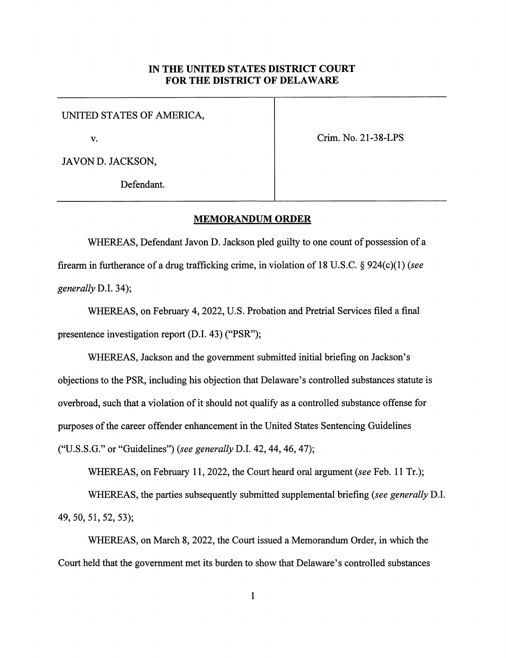## IN THE UNITED STATES DISTRICT COURT FOR THE DISTRICT OF DELAWARE

UNITED STATES OF AMERICA,

V. Crim. No. 21-38-LPS

JAVON D. JACKSON,

Defendant.

## MEMORANDUM ORDER

WHEREAS, Defendant Javon D. Jackson pled guilty to one count of possession of a firearm in furtherance of a drug trafficking crime, in violation of 18 U.S.C. § 924(c)(1) (see generally D.I. 34);

WHEREAS, on February 4,2022, U.S. Probation and Pretrial Services filed a final presentence investigation report (D.I. 43) ("PSR");

WHEREAS, Jackson and the government submitted initial briefing on Jackson's objections to the PSR, including his objection that Delaware's controlled substances statute is overbroad, such that a violation of it should not qualify as a controlled substance offense for purposes of the career offender enhancement in the United States Sentencing Guidelines ("U.S.S.G." or "Guidelines") (see generally D.I. 42, 44, 46, 47);

WHEREAS, on February 11, 2022, the Court heard oral argument (see Feb. 11 Tr.); WHEREAS, the parties subsequently submitted supplemental briefing (see generally D.I. 49, 50, 51, 52, 53);

WHEREAS, on March 8, 2022, the Court issued a Memorandum Order, in which the Court held that the government met its burden to show that Delaware's controlled substances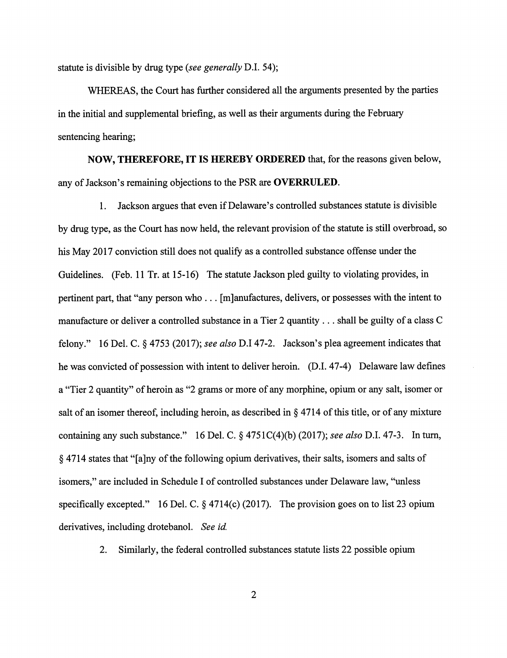statute is divisible by drug type (see generally D.I. 54);

WHEREAS, the Court has further considered all the arguments presented by the parties in the initial and supplemental briefing, as well as their arguments during the February sentencing hearing;

NOW, THEREFORE, IT IS HEREBY ORDERED that, for the reasons given below, any of Jackson's remaining objections to the PSR are OVERRULED.

1. Jackson argues that even if Delaware's controlled substances statute is divisible by drug type, as the Court has now held, the relevant provision of the statute is still overbroad, so his May 2017 conviction still does not qualify as a controlled substance offense under the Guidelines. (Feb. 11 Tr. at 15-16) The statute Jackson pled guilty to violating provides, in pertinent part, that "any person who ... [mjanufactures, delivers, or possesses with the intent to manufacture or deliver a controlled substance in a Tier 2 quantity ... shall be guilty of a class C felony." 16 Del. C. § 4753 (2017); see also D.I 47-2. Jackson's plea agreement indicates that he was convicted of possession with intent to deliver heroin. (D.I. 47-4) Delaware law defines a "Tier 2 quantity" of heroin as "2 grams or more of any morphine, opium or any salt, isomer or salt of an isomer thereof, including heroin, as described in § 4714 of this title, or of any mixture containing any such substance." 16 Del. C.  $\S$  4751C(4)(b) (2017); see also D.I. 47-3. In turn, § 4714 states that "[a]ny of the following opium derivatives, their salts, isomers and salts of isomers," are included in Schedule I of controlled substances under Delaware law, "unless specifically excepted." 16 Del. C.  $\S$  4714(c) (2017). The provision goes on to list 23 opium derivatives, including drotebanol. See id.

2. Similarly, the federal controlled substances statute lists 22 possible opium

 $\overline{2}$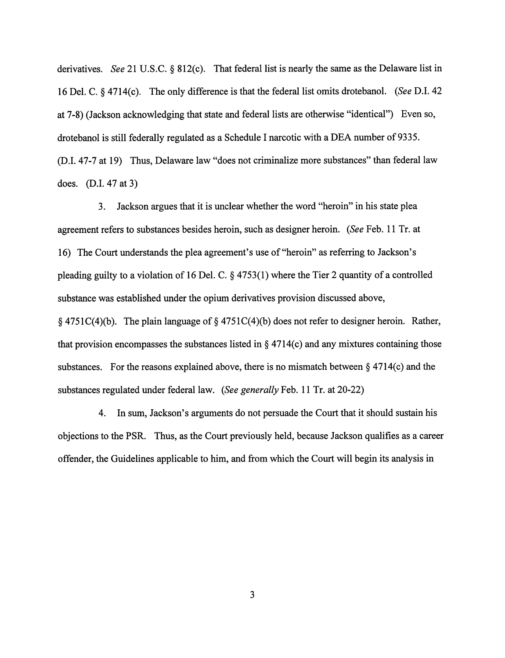derivatives. See 21 U.S.C. § 812(c). That federal list is nearly the same as the Delaware list in 16 Del. C. § 4714(c). The only difference is that the federal list omits drotebanol. (See D.I. 42 at 7-8) (Jackson acknowledging that state and federal lists are otherwise "identical") Even so, drotebanol is still federally regulated as a Schedule 1 narcotic with a DBA number of 9335. (D.l. 47-7 at 19) Thus, Delaware law "does not criminalize more substances" than federal law does. (D.l. 47 at 3)

3. Jackson argues that it is unclear whether the word "heroin" in his state plea agreement refers to substances besides heroin, such as designer heroin. (See Feb. 11 Tr. at 16) The Court understands the plea agreement's use of "heroin" as referring to Jackson's pleading guilty to a violation of 16 Del. C. § 4753(1) where the Tier 2 quantity of a controlled substance was established under the opium derivatives provision discussed above, § 4751C(4)(b). The plain language of § 4751C(4)(b) does not refer to designer heroin. Rather, that provision encompasses the substances listed in  $\S$  4714(c) and any mixtures containing those substances. For the reasons explained above, there is no mismatch between  $\S 4714(c)$  and the substances regulated under federal law. (See generally Feb. 11 Tr. at 20-22)

4. In sum, Jackson's arguments do not persuade the Court that it should sustain his objections to the PSR. Thus, as the Court previously held, because Jackson qualifies as a career offender, the Guidelines applicable to him, and from which the Court will begin its analysis in

 $\overline{3}$